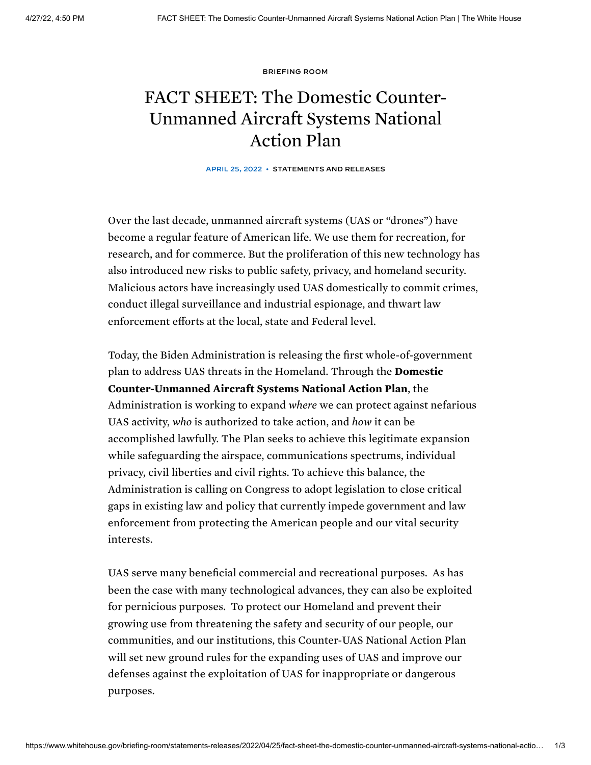[BRIEFING](https://www.whitehouse.gov/briefing-room/) ROOM

## FACT SHEET: The Domestic Counter-Unmanned Aircraft Systems National Action Plan

APRIL 25, 2022 • [STATEMENTS](https://www.whitehouse.gov/briefing-room/statements-releases/) AND RELEASES

Over the last decade, unmanned aircraft systems (UAS or "drones") have become a regular feature of American life. We use them for recreation, for research, and for commerce. But the proliferation of this new technology has also introduced new risks to public safety, privacy, and homeland security. Malicious actors have increasingly used UAS domestically to commit crimes, conduct illegal surveillance and industrial espionage, and thwart law enforcement efforts at the local, state and Federal level.

Today, the Biden Administration is releasing the first whole-of-government plan to address UAS threats in the Homeland. Through the **Domestic** Counter-Unmanned Aircraft Systems National Action Plan, the Administration is working to expand *where* we can protect against nefarious UAS activity, *who* is authorized to take action, and *how* it can be accomplished lawfully. The Plan seeks to achieve this legitimate expansion while safeguarding the airspace, communications spectrums, individual privacy, civil liberties and civil rights. To achieve this balance, the Administration is calling on Congress to adopt legislation to close critical gaps in existing law and policy that currently impede government and law enforcement from protecting the American people and our vital security interests.

UAS serve many beneficial commercial and recreational purposes. As has been the case with many technological advances, they can also be exploited for pernicious purposes. To protect our Homeland and prevent their growing use from threatening the safety and security of our people, our communities, and our institutions, this Counter-UAS National Action Plan will set new ground rules for the expanding uses of UAS and improve our defenses against the exploitation of UAS for inappropriate or dangerous purposes.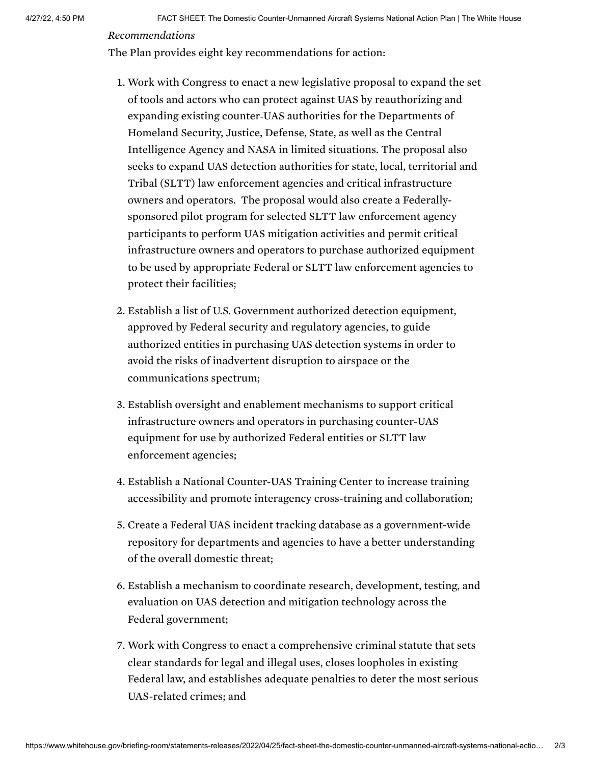## *Recommendations*

The Plan provides eight key recommendations for action:

- 1. Work with Congress to enact a new legislative proposal to expand the set of tools and actors who can protect against UAS by reauthorizing and expanding existing counter‑UAS authorities for the Departments of Homeland Security, Justice, Defense, State, as well as the Central Intelligence Agency and NASA in limited situations. The proposal also seeks to expand UAS detection authorities for state, local, territorial and Tribal (SLTT) law enforcement agencies and critical infrastructure owners and operators. The proposal would also create a Federallysponsored pilot program for selected SLTT law enforcement agency participants to perform UAS mitigation activities and permit critical infrastructure owners and operators to purchase authorized equipment to be used by appropriate Federal or SLTT law enforcement agencies to protect their facilities;
- 2. Establish a list of U.S. Government authorized detection equipment, approved by Federal security and regulatory agencies, to guide authorized entities in purchasing UAS detection systems in order to avoid the risks of inadvertent disruption to airspace or the communications spectrum;
- 3. Establish oversight and enablement mechanisms to support critical infrastructure owners and operators in purchasing counter-UAS equipment for use by authorized Federal entities or SLTT law enforcement agencies;
- 4. Establish a National Counter-UAS Training Center to increase training accessibility and promote interagency cross-training and collaboration;
- 5. Create a Federal UAS incident tracking database as a government-wide repository for departments and agencies to have a better understanding of the overall domestic threat;
- 6. Establish a mechanism to coordinate research, development, testing, and evaluation on UAS detection and mitigation technology across the Federal government;
- 7. Work with Congress to enact a comprehensive criminal statute that sets clear standards for legal and illegal uses, closes loopholes in existing Federal law, and establishes adequate penalties to deter the most serious UAS-related crimes; and